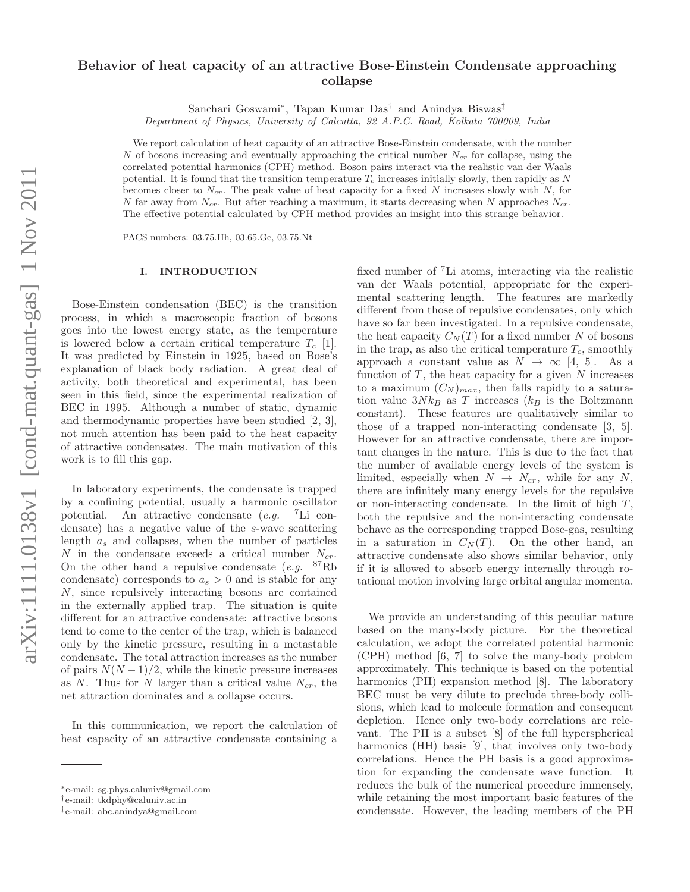# Behavior of heat capacity of an attractive Bose-Einstein Condensate approaching collapse

Sanchari Goswami<sup>∗</sup> , Tapan Kumar Das† and Anindya Biswas‡

Department of Physics, University of Calcutta, 92 A.P.C. Road, Kolkata 700009, India

We report calculation of heat capacity of an attractive Bose-Einstein condensate, with the number N of bosons increasing and eventually approaching the critical number  $N_{cr}$  for collapse, using the correlated potential harmonics (CPH) method. Boson pairs interact via the realistic van der Waals potential. It is found that the transition temperature  $T_c$  increases initially slowly, then rapidly as N becomes closer to  $N_{cr}$ . The peak value of heat capacity for a fixed N increases slowly with N, for N far away from  $N_{cr}$ . But after reaching a maximum, it starts decreasing when N approaches  $N_{cr}$ . The effective potential calculated by CPH method provides an insight into this strange behavior.

PACS numbers: 03.75.Hh, 03.65.Ge, 03.75.Nt

### I. INTRODUCTION

Bose-Einstein condensation (BEC) is the transition process, in which a macroscopic fraction of bosons goes into the lowest energy state, as the temperature is lowered below a certain critical temperature  $T_c$  [1]. It was predicted by Einstein in 1925, based on Bose's explanation of black body radiation. A great deal of activity, both theoretical and experimental, has been seen in this field, since the experimental realization of BEC in 1995. Although a number of static, dynamic and thermodynamic properties have been studied [2, 3], not much attention has been paid to the heat capacity of attractive condensates. The main motivation of this work is to fill this gap.

In laboratory experiments, the condensate is trapped by a confining potential, usually a harmonic oscillator potential. An attractive condensate  $(e.g.$  <sup>7</sup>Li condensate) has a negative value of the s-wave scattering length  $a_s$  and collapses, when the number of particles N in the condensate exceeds a critical number  $N_{cr}$ . On the other hand a repulsive condensate  $(e.g.$  <sup>87</sup>Rb condensate) corresponds to  $a_s > 0$  and is stable for any N, since repulsively interacting bosons are contained in the externally applied trap. The situation is quite different for an attractive condensate: attractive bosons tend to come to the center of the trap, which is balanced only by the kinetic pressure, resulting in a metastable condensate. The total attraction increases as the number of pairs  $N(N-1)/2$ , while the kinetic pressure increases as N. Thus for N larger than a critical value  $N_{cr}$ , the net attraction dominates and a collapse occurs.

In this communication, we report the calculation of heat capacity of an attractive condensate containing a

fixed number of <sup>7</sup>Li atoms, interacting via the realistic van der Waals potential, appropriate for the experimental scattering length. The features are markedly different from those of repulsive condensates, only which have so far been investigated. In a repulsive condensate, the heat capacity  $C_N(T)$  for a fixed number N of bosons in the trap, as also the critical temperature  $T_c$ , smoothly approach a constant value as  $N \to \infty$  [4, 5]. As a function of  $T$ , the heat capacity for a given  $N$  increases to a maximum  $(C_N)_{max}$ , then falls rapidly to a saturation value  $3N k_B$  as T increases ( $k_B$  is the Boltzmann constant). These features are qualitatively similar to those of a trapped non-interacting condensate [3, 5]. However for an attractive condensate, there are important changes in the nature. This is due to the fact that the number of available energy levels of the system is limited, especially when  $N \rightarrow N_{cr}$ , while for any N, there are infinitely many energy levels for the repulsive or non-interacting condensate. In the limit of high  $T$ , both the repulsive and the non-interacting condensate behave as the corresponding trapped Bose-gas, resulting in a saturation in  $C_N(T)$ . On the other hand, an attractive condensate also shows similar behavior, only if it is allowed to absorb energy internally through rotational motion involving large orbital angular momenta.

We provide an understanding of this peculiar nature based on the many-body picture. For the theoretical calculation, we adopt the correlated potential harmonic (CPH) method [6, 7] to solve the many-body problem approximately. This technique is based on the potential harmonics (PH) expansion method [8]. The laboratory BEC must be very dilute to preclude three-body collisions, which lead to molecule formation and consequent depletion. Hence only two-body correlations are relevant. The PH is a subset [8] of the full hyperspherical harmonics (HH) basis [9], that involves only two-body correlations. Hence the PH basis is a good approximation for expanding the condensate wave function. It reduces the bulk of the numerical procedure immensely, while retaining the most important basic features of the condensate. However, the leading members of the PH

<sup>∗</sup>e-mail: sg.phys.caluniv@gmail.com

<sup>†</sup> e-mail: tkdphy@caluniv.ac.in

<sup>‡</sup>e-mail: abc.anindya@gmail.com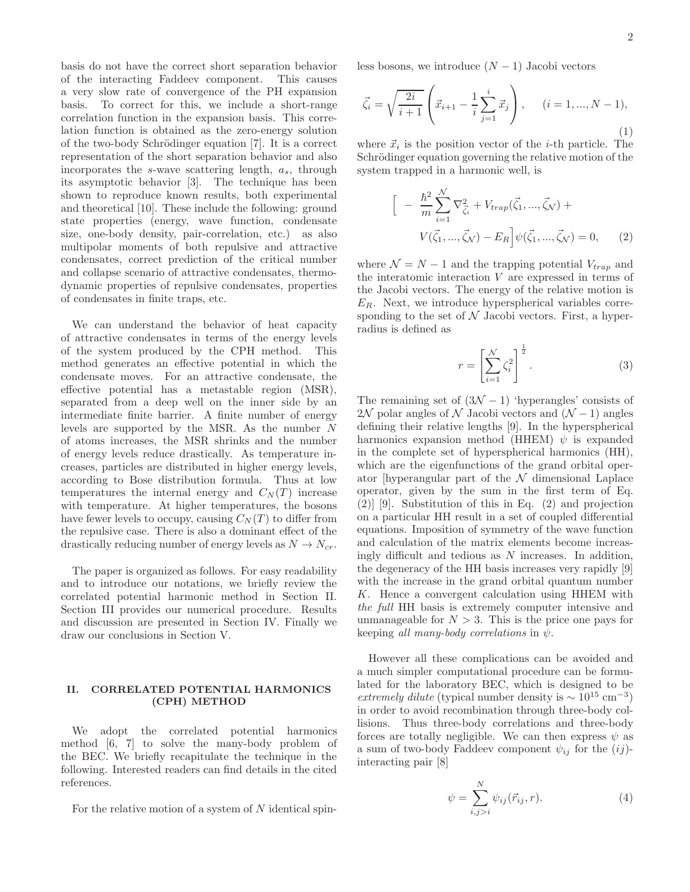basis do not have the correct short separation behavior of the interacting Faddeev component. This causes a very slow rate of convergence of the PH expansion basis. To correct for this, we include a short-range correlation function in the expansion basis. This correlation function is obtained as the zero-energy solution of the two-body Schrödinger equation [7]. It is a correct representation of the short separation behavior and also incorporates the  $s$ -wave scattering length,  $a_s$ , through its asymptotic behavior [3]. The technique has been shown to reproduce known results, both experimental and theoretical [10]. These include the following: ground state properties (energy, wave function, condensate size, one-body density, pair-correlation, etc.) as also multipolar moments of both repulsive and attractive condensates, correct prediction of the critical number and collapse scenario of attractive condensates, thermodynamic properties of repulsive condensates, properties of condensates in finite traps, etc.

We can understand the behavior of heat capacity of attractive condensates in terms of the energy levels of the system produced by the CPH method. This method generates an effective potential in which the condensate moves. For an attractive condensate, the effective potential has a metastable region (MSR), separated from a deep well on the inner side by an intermediate finite barrier. A finite number of energy levels are supported by the MSR. As the number  $N$ of atoms increases, the MSR shrinks and the number of energy levels reduce drastically. As temperature increases, particles are distributed in higher energy levels, according to Bose distribution formula. Thus at low temperatures the internal energy and  $C<sub>N</sub>(T)$  increase with temperature. At higher temperatures, the bosons have fewer levels to occupy, causing  $C<sub>N</sub>(T)$  to differ from the repulsive case. There is also a dominant effect of the drastically reducing number of energy levels as  $N \to N_{cr}$ .

The paper is organized as follows. For easy readability and to introduce our notations, we briefly review the correlated potential harmonic method in Section II. Section III provides our numerical procedure. Results and discussion are presented in Section IV. Finally we draw our conclusions in Section V.

# II. CORRELATED POTENTIAL HARMONICS (CPH) METHOD

We adopt the correlated potential harmonics method [6, 7] to solve the many-body problem of the BEC. We briefly recapitulate the technique in the following. Interested readers can find details in the cited references.

For the relative motion of a system of  $N$  identical spin-

less bosons, we introduce  $(N-1)$  Jacobi vectors

$$
\vec{\zeta}_i = \sqrt{\frac{2i}{i+1}} \left( \vec{x}_{i+1} - \frac{1}{i} \sum_{j=1}^i \vec{x}_j \right), \quad (i = 1, ..., N-1),
$$
\n(1)

where  $\vec{x}_i$  is the position vector of the *i*-th particle. The Schrödinger equation governing the relative motion of the system trapped in a harmonic well, is

$$
\left[ -\frac{\hbar^2}{m} \sum_{i=1}^{N} \nabla_{\vec{\zeta}_i}^2 + V_{trap}(\vec{\zeta}_1, ..., \vec{\zeta}_N) + V(\vec{\zeta}_1, ..., \vec{\zeta}_N) - E_R \right] \psi(\vec{\zeta}_1, ..., \vec{\zeta}_N) = 0, \qquad (2)
$$

where  $\mathcal{N} = N - 1$  and the trapping potential  $V_{trap}$  and the interatomic interaction V are expressed in terms of the Jacobi vectors. The energy of the relative motion is  $E_R$ . Next, we introduce hyperspherical variables corresponding to the set of  $N$  Jacobi vectors. First, a hyperradius is defined as

$$
r = \left[\sum_{i=1}^{N} \zeta_i^2\right]^{\frac{1}{2}}.\tag{3}
$$

The remaining set of  $(3\mathcal{N} - 1)$  'hyperangles' consists of 2N polar angles of N Jacobi vectors and  $(N-1)$  angles defining their relative lengths [9]. In the hyperspherical harmonics expansion method (HHEM)  $\psi$  is expanded in the complete set of hyperspherical harmonics (HH), which are the eigenfunctions of the grand orbital operator [hyperangular part of the  $\mathcal N$  dimensional Laplace operator, given by the sum in the first term of Eq. (2)] [9]. Substitution of this in Eq. (2) and projection on a particular HH result in a set of coupled differential equations. Imposition of symmetry of the wave function and calculation of the matrix elements become increasingly difficult and tedious as N increases. In addition, the degeneracy of the HH basis increases very rapidly [9] with the increase in the grand orbital quantum number K. Hence a convergent calculation using HHEM with the full HH basis is extremely computer intensive and unmanageable for  $N > 3$ . This is the price one pays for keeping all many-body correlations in  $\psi$ .

However all these complications can be avoided and a much simpler computational procedure can be formulated for the laboratory BEC, which is designed to be extremely dilute (typical number density is  $\sim 10^{15}$  cm<sup>-3</sup>) in order to avoid recombination through three-body collisions. Thus three-body correlations and three-body forces are totally negligible. We can then express  $\psi$  as a sum of two-body Faddeev component  $\psi_{ij}$  for the  $(ij)$ interacting pair [8]

$$
\psi = \sum_{i,j>i}^{N} \psi_{ij}(\vec{r}_{ij}, r). \tag{4}
$$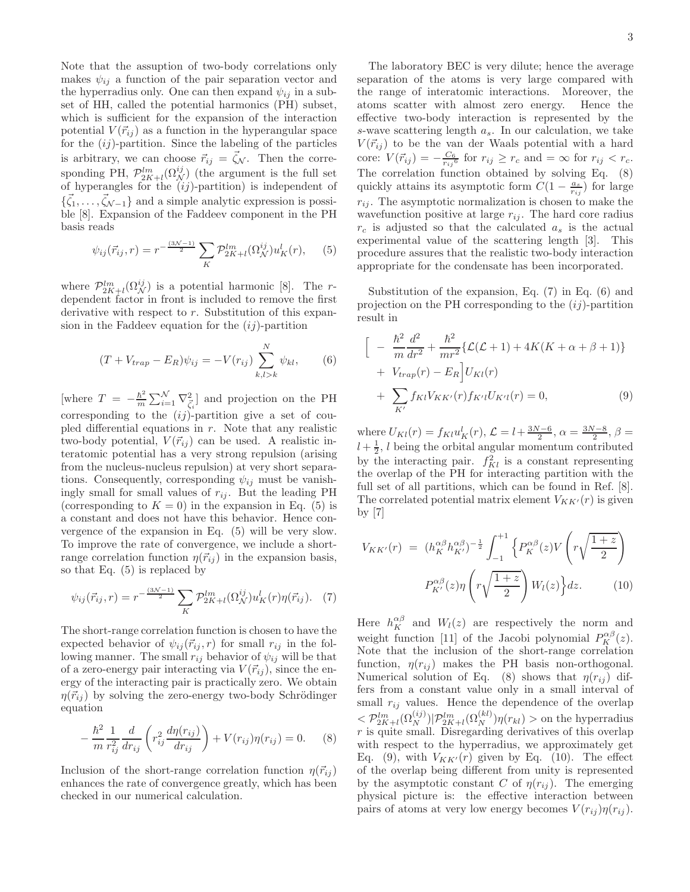Note that the assuption of two-body correlations only makes  $\psi_{ij}$  a function of the pair separation vector and the hyperradius only. One can then expand  $\psi_{ij}$  in a subset of HH, called the potential harmonics (PH) subset, which is sufficient for the expansion of the interaction potential  $V(\vec{r}_{ij})$  as a function in the hyperangular space for the  $(ij)$ -partition. Since the labeling of the particles is arbitrary, we can choose  $\vec{r}_{ij} = \vec{\zeta}_{\mathcal{N}}$ . Then the corresponding PH,  $\mathcal{P}_{2K+l}^{lm}(\Omega_{\mathcal{N}}^{ij})$  (the argument is the full set of hyperangles for the  $(ij)$ -partition) is independent of  $\{\vec{\zeta}_1,\ldots,\vec{\zeta}_{\mathcal{N}-1}\}\$  and a simple analytic expression is possible [8]. Expansion of the Faddeev component in the PH basis reads

$$
\psi_{ij}(\vec{r}_{ij},r) = r^{-\frac{(3\mathcal{N}-1)}{2}} \sum_{K} \mathcal{P}_{2K+l}^{lm}(\Omega_{\mathcal{N}}^{ij}) u_K^l(r), \quad (5)
$$

where  $\mathcal{P}_{2K+l}^{lm}(\Omega_N^{ij})$  is a potential harmonic [8]. The rdependent factor in front is included to remove the first derivative with respect to r. Substitution of this expansion in the Faddeev equation for the  $(ij)$ -partition

$$
(T + V_{trap} - E_R)\psi_{ij} = -V(r_{ij}) \sum_{k,l > k}^{N} \psi_{kl},
$$
 (6)

[where  $T = -\frac{\hbar^2}{m}$  $\frac{\hbar^2}{m} \sum_{i=1}^{N} \nabla_{\vec{\zeta}_i}^2$  and projection on the PH corresponding to the  $(ij)$ -partition give a set of coupled differential equations in  $r$ . Note that any realistic two-body potential,  $V(\vec{r}_{ij})$  can be used. A realistic interatomic potential has a very strong repulsion (arising from the nucleus-nucleus repulsion) at very short separations. Consequently, corresponding  $\psi_{ij}$  must be vanishingly small for small values of  $r_{ij}$ . But the leading PH (corresponding to  $K = 0$ ) in the expansion in Eq. (5) is a constant and does not have this behavior. Hence convergence of the expansion in Eq. (5) will be very slow. To improve the rate of convergence, we include a shortrange correlation function  $\eta(\vec{r}_{ij})$  in the expansion basis, so that Eq. (5) is replaced by

$$
\psi_{ij}(\vec{r}_{ij},r) = r^{-\frac{(3\mathcal{N}-1)}{2}} \sum_{K} \mathcal{P}_{2K+l}^{lm}(\Omega_{\mathcal{N}}^{ij}) u_{K}^{l}(r) \eta(\vec{r}_{ij}). \tag{7}
$$

The short-range correlation function is chosen to have the expected behavior of  $\psi_{ij}(\vec{r}_{ij}, r)$  for small  $r_{ij}$  in the following manner. The small  $r_{ij}$  behavior of  $\psi_{ij}$  will be that of a zero-energy pair interacting via  $V(\vec{r}_{ij})$ , since the energy of the interacting pair is practically zero. We obtain  $\eta(\vec{r}_{ij})$  by solving the zero-energy two-body Schrödinger equation

$$
-\frac{\hbar^2}{m} \frac{1}{r_{ij}^2} \frac{d}{dr_{ij}} \left( r_{ij}^2 \frac{d\eta(r_{ij})}{dr_{ij}} \right) + V(r_{ij})\eta(r_{ij}) = 0. \tag{8}
$$

Inclusion of the short-range correlation function  $\eta(\vec{r}_{ij})$ enhances the rate of convergence greatly, which has been checked in our numerical calculation.

The laboratory BEC is very dilute; hence the average separation of the atoms is very large compared with the range of interatomic interactions. Moreover, the atoms scatter with almost zero energy. Hence the effective two-body interaction is represented by the s-wave scattering length  $a_s$ . In our calculation, we take  $V(\vec{r}_{ij})$  to be the van der Waals potential with a hard core:  $V(\vec{r}_{ij}) = -\frac{C_6}{r_{ij}^6}$  for  $r_{ij} \ge r_c$  and  $=\infty$  for  $r_{ij} < r_c$ . The correlation function obtained by solving Eq. (8) quickly attains its asymptotic form  $C(1 - \frac{a_s}{r_{ij}})$  for large  $r_{ij}$ . The asymptotic normalization is chosen to make the wavefunction positive at large  $r_{ij}$ . The hard core radius  $r_c$  is adjusted so that the calculated  $a_s$  is the actual experimental value of the scattering length [3]. This procedure assures that the realistic two-body interaction appropriate for the condensate has been incorporated.

Substitution of the expansion, Eq. (7) in Eq. (6) and projection on the PH corresponding to the  $(ij)$ -partition result in

$$
\begin{aligned}\n&\Big[ -\frac{\hbar^2}{m} \frac{d^2}{dr^2} + \frac{\hbar^2}{mr^2} \{ \mathcal{L}(\mathcal{L} + 1) + 4K(K + \alpha + \beta + 1) \} \\
&+ V_{trap}(r) - E_R \Big] U_{Kl}(r) \\
&+ \sum_{K'} f_{Kl} V_{KK'}(r) f_{K'l} U_{K'l}(r) = 0,\n\end{aligned} \tag{9}
$$

where  $U_{Kl}(r) = f_{Kl}u_K^l(r)$ ,  $\mathcal{L} = l + \frac{3N-6}{2}$ ,  $\alpha = \frac{3N-8}{2}$ ,  $\beta =$  $l + \frac{1}{2}$ , l being the orbital angular momentum contributed by the interacting pair.  $f_{Kl}^2$  is a constant representing the overlap of the PH for interacting partition with the full set of all partitions, which can be found in Ref. [8]. The correlated potential matrix element  $V_{KK'}(r)$  is given by [7]

$$
V_{KK'}(r) = (h_K^{\alpha\beta} h_{K'}^{\alpha\beta})^{-\frac{1}{2}} \int_{-1}^{+1} \left\{ P_K^{\alpha\beta}(z) V\left(r\sqrt{\frac{1+z}{2}}\right) \right\}
$$

$$
P_{K'}^{\alpha\beta}(z) \eta\left(r\sqrt{\frac{1+z}{2}}\right) W_l(z) \Big\} dz. \tag{10}
$$

Here  $h_K^{\alpha\beta}$  and  $W_l(z)$  are respectively the norm and weight function [11] of the Jacobi polynomial  $P_K^{\alpha\beta}(z)$ . Note that the inclusion of the short-range correlation function,  $\eta(r_{ij})$  makes the PH basis non-orthogonal. Numerical solution of Eq. (8) shows that  $\eta(r_{ij})$  differs from a constant value only in a small interval of small  $r_{ij}$  values. Hence the dependence of the overlap  $\langle \mathcal{P}_{2K+l}^{lm}(\Omega_N^{(ij)}) | \mathcal{P}_{2K+l}^{lm}(\Omega_N^{(kl)}) \eta(r_{kl}) \rangle$  on the hyperradius  $r$  is quite small. Disregarding derivatives of this overlap with respect to the hyperradius, we approximately get Eq. (9), with  $V_{KK'}(r)$  given by Eq. (10). The effect of the overlap being different from unity is represented by the asymptotic constant C of  $\eta(r_{ij})$ . The emerging physical picture is: the effective interaction between pairs of atoms at very low energy becomes  $V(r_{ij})\eta(r_{ij}).$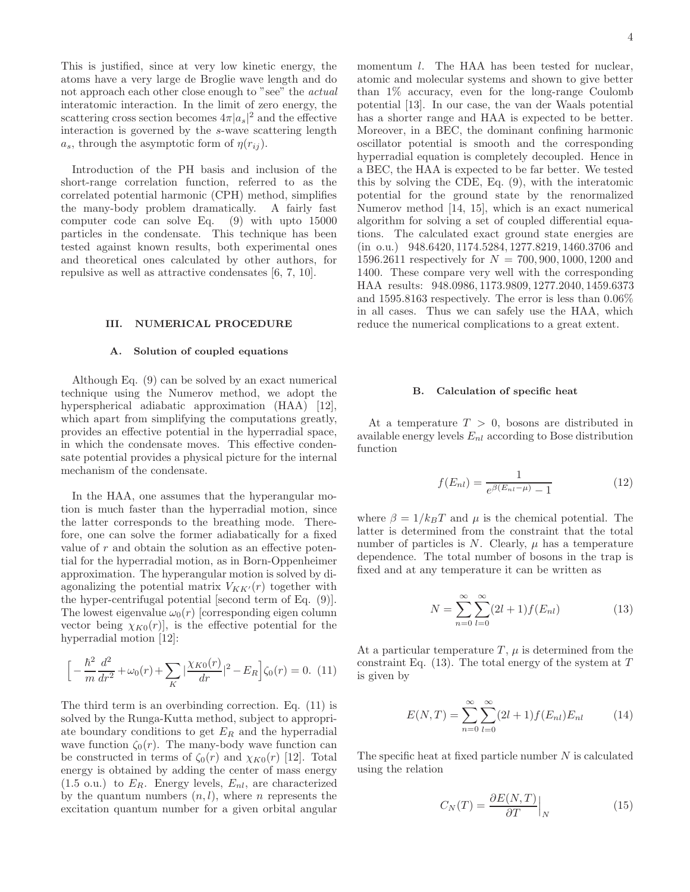This is justified, since at very low kinetic energy, the atoms have a very large de Broglie wave length and do not approach each other close enough to "see" the actual interatomic interaction. In the limit of zero energy, the scattering cross section becomes  $4\pi |a_s|^2$  and the effective interaction is governed by the s-wave scattering length  $a_s$ , through the asymptotic form of  $\eta(r_{ij})$ .

Introduction of the PH basis and inclusion of the short-range correlation function, referred to as the correlated potential harmonic (CPH) method, simplifies the many-body problem dramatically. A fairly fast computer code can solve Eq. (9) with upto 15000 particles in the condensate. This technique has been tested against known results, both experimental ones and theoretical ones calculated by other authors, for repulsive as well as attractive condensates [6, 7, 10].

#### III. NUMERICAL PROCEDURE

# A. Solution of coupled equations

Although Eq. (9) can be solved by an exact numerical technique using the Numerov method, we adopt the hyperspherical adiabatic approximation (HAA) [12], which apart from simplifying the computations greatly, provides an effective potential in the hyperradial space, in which the condensate moves. This effective condensate potential provides a physical picture for the internal mechanism of the condensate.

In the HAA, one assumes that the hyperangular motion is much faster than the hyperradial motion, since the latter corresponds to the breathing mode. Therefore, one can solve the former adiabatically for a fixed value of  $r$  and obtain the solution as an effective potential for the hyperradial motion, as in Born-Oppenheimer approximation. The hyperangular motion is solved by diagonalizing the potential matrix  $V_{KK'}(r)$  together with the hyper-centrifugal potential [second term of Eq. (9)]. The lowest eigenvalue  $\omega_0(r)$  [corresponding eigen column vector being  $\chi_{K0}(r)$ , is the effective potential for the hyperradial motion [12]:

$$
\[ -\frac{\hbar^2}{m} \frac{d^2}{dr^2} + \omega_0(r) + \sum_K |\frac{\chi_{K0}(r)}{dr}|^2 - E_R \] \zeta_0(r) = 0. \tag{11}
$$

The third term is an overbinding correction. Eq. (11) is solved by the Runga-Kutta method, subject to appropriate boundary conditions to get  $E_R$  and the hyperradial wave function  $\zeta_0(r)$ . The many-body wave function can be constructed in terms of  $\zeta_0(r)$  and  $\chi_{K0}(r)$  [12]. Total energy is obtained by adding the center of mass energy  $(1.5 \text{ o.u.})$  to  $E_R$ . Energy levels,  $E_{nl}$ , are characterized by the quantum numbers  $(n, l)$ , where *n* represents the excitation quantum number for a given orbital angular

momentum  $l$ . The HAA has been tested for nuclear, atomic and molecular systems and shown to give better than 1% accuracy, even for the long-range Coulomb potential [13]. In our case, the van der Waals potential has a shorter range and HAA is expected to be better. Moreover, in a BEC, the dominant confining harmonic oscillator potential is smooth and the corresponding hyperradial equation is completely decoupled. Hence in a BEC, the HAA is expected to be far better. We tested this by solving the CDE, Eq. (9), with the interatomic potential for the ground state by the renormalized Numerov method [14, 15], which is an exact numerical algorithm for solving a set of coupled differential equations. The calculated exact ground state energies are (in o.u.) 948.6420, 1174.5284, 1277.8219, 1460.3706 and 1596.2611 respectively for  $N = 700, 900, 1000, 1200$  and 1400. These compare very well with the corresponding HAA results: 948.0986, 1173.9809, 1277.2040, 1459.6373 and 1595.8163 respectively. The error is less than 0.06% in all cases. Thus we can safely use the HAA, which reduce the numerical complications to a great extent.

#### B. Calculation of specific heat

At a temperature  $T > 0$ , bosons are distributed in available energy levels  $E_{nl}$  according to Bose distribution function

$$
f(E_{nl}) = \frac{1}{e^{\beta(E_{nl} - \mu)} - 1}
$$
 (12)

where  $\beta = 1/k_BT$  and  $\mu$  is the chemical potential. The latter is determined from the constraint that the total number of particles is N. Clearly,  $\mu$  has a temperature dependence. The total number of bosons in the trap is fixed and at any temperature it can be written as

$$
N = \sum_{n=0}^{\infty} \sum_{l=0}^{\infty} (2l+1) f(E_{nl})
$$
 (13)

At a particular temperature  $T$ ,  $\mu$  is determined from the constraint Eq.  $(13)$ . The total energy of the system at T is given by

$$
E(N,T) = \sum_{n=0}^{\infty} \sum_{l=0}^{\infty} (2l+1) f(E_{nl}) E_{nl}
$$
 (14)

The specific heat at fixed particle number  $N$  is calculated using the relation

$$
C_N(T) = \frac{\partial E(N, T)}{\partial T}\Big|_N \tag{15}
$$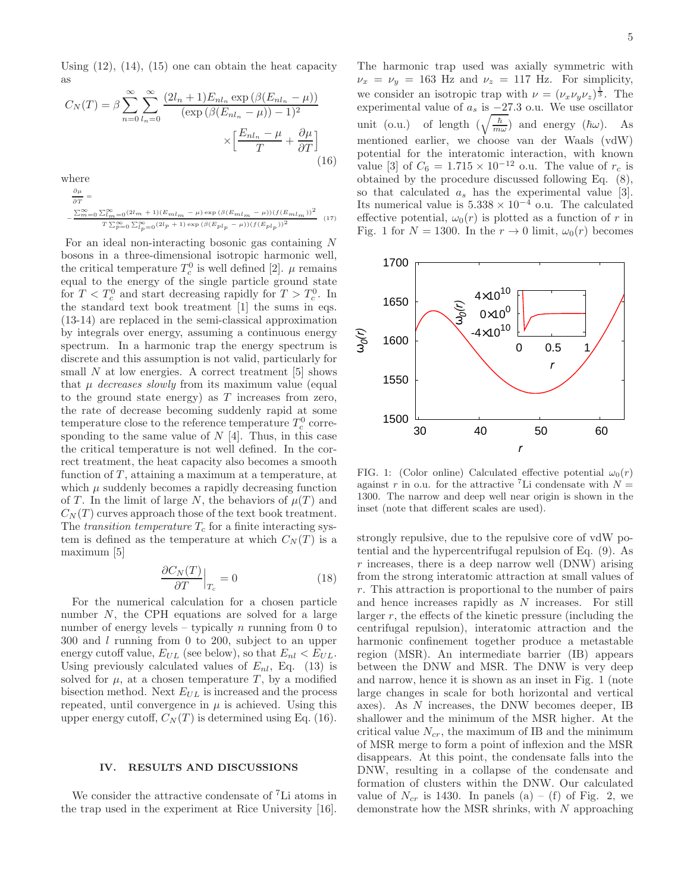Using  $(12)$ ,  $(14)$ ,  $(15)$  one can obtain the heat capacity as

$$
C_N(T) = \beta \sum_{n=0}^{\infty} \sum_{l_n=0}^{\infty} \frac{(2l_n + 1)E_{nl_n} \exp\left(\beta(E_{nl_n} - \mu)\right)}{(\exp\left(\beta(E_{nl_n} - \mu)\right) - 1)^2}
$$

$$
\times \left[\frac{E_{nl_n} - \mu}{T} + \frac{\partial \mu}{\partial T}\right]
$$
(16)

where

$$
\begin{aligned} \frac{\partial \mu}{\partial T} &= \\ &-\frac{\sum_{m=0}^{\infty}\sum_{l\,m=0}^{\infty}(2l_{m}+1)(E_{ml_{m}}-\mu)\exp\left(\beta(E_{ml_{m}}-\mu)\right)(f(E_{ml_{m}}))^{2}}{T\sum_{p=0}^{\infty}\sum_{l\,p=0}^{\infty}(2l_{P}+1)\exp\left(\beta(E_{pl_{P}}-\mu)\right)(f(E_{pl_{P}}))^{2}} \end{aligned} \tag{17}
$$

For an ideal non-interacting bosonic gas containing N bosons in a three-dimensional isotropic harmonic well, the critical temperature  $T_c^0$  is well defined [2].  $\mu$  remains equal to the energy of the single particle ground state for  $T < T_c^0$  and start decreasing rapidly for  $T > T_c^0$ . In the standard text book treatment [1] the sums in eqs. (13-14) are replaced in the semi-classical approximation by integrals over energy, assuming a continuous energy spectrum. In a harmonic trap the energy spectrum is discrete and this assumption is not valid, particularly for small  $N$  at low energies. A correct treatment [5] shows that  $\mu$  decreases slowly from its maximum value (equal to the ground state energy) as T increases from zero, the rate of decrease becoming suddenly rapid at some temperature close to the reference temperature  $T_c^0$  corresponding to the same value of  $N$  [4]. Thus, in this case the critical temperature is not well defined. In the correct treatment, the heat capacity also becomes a smooth function of  $T$ , attaining a maximum at a temperature, at which  $\mu$  suddenly becomes a rapidly decreasing function of T. In the limit of large N, the behaviors of  $\mu(T)$  and  $C<sub>N</sub>(T)$  curves approach those of the text book treatment. The transition temperature  $T_c$  for a finite interacting system is defined as the temperature at which  $C<sub>N</sub>(T)$  is a maximum [5]

$$
\left. \frac{\partial C_N(T)}{\partial T} \right|_{T_c} = 0 \tag{18}
$$

For the numerical calculation for a chosen particle number N, the CPH equations are solved for a large number of energy levels – typically n running from 0 to 300 and l running from 0 to 200, subject to an upper energy cutoff value,  $E_{UL}$  (see below), so that  $E_{nl} < E_{UL}$ . Using previously calculated values of  $E_{nl}$ , Eq. (13) is solved for  $\mu$ , at a chosen temperature T, by a modified bisection method. Next  $E_{UL}$  is increased and the process repeated, until convergence in  $\mu$  is achieved. Using this upper energy cutoff,  $C_N(T)$  is determined using Eq. (16).

## IV. RESULTS AND DISCUSSIONS

We consider the attractive condensate of <sup>7</sup>Li atoms in the trap used in the experiment at Rice University [16].

The harmonic trap used was axially symmetric with  $\nu_x = \nu_y = 163$  Hz and  $\nu_z = 117$  Hz. For simplicity, we consider an isotropic trap with  $\nu = (\nu_x \nu_y \nu_z)^{\frac{1}{3}}$ . The experimental value of  $a_s$  is  $-27.3$  o.u. We use oscillator unit (o.u.) of length  $(\sqrt{\frac{\hbar}{m}})$  $\frac{\hbar}{m\omega}$ ) and energy  $(\hbar\omega)$ . As mentioned earlier, we choose van der Waals (vdW) potential for the interatomic interaction, with known value [3] of  $C_6 = 1.715 \times 10^{-12}$  o.u. The value of  $r_c$  is obtained by the procedure discussed following Eq. (8), so that calculated  $a_s$  has the experimental value [3]. Its numerical value is  $5.338 \times 10^{-4}$  o.u. The calculated effective potential,  $\omega_0(r)$  is plotted as a function of r in Fig. 1 for  $N = 1300$ . In the  $r \to 0$  limit,  $\omega_0(r)$  becomes



FIG. 1: (Color online) Calculated effective potential  $\omega_0(r)$ against r in o.u. for the attractive <sup>7</sup>Li condensate with  $N =$ 1300. The narrow and deep well near origin is shown in the inset (note that different scales are used).

strongly repulsive, due to the repulsive core of vdW potential and the hypercentrifugal repulsion of Eq. (9). As  $r$  increases, there is a deep narrow well (DNW) arising from the strong interatomic attraction at small values of r. This attraction is proportional to the number of pairs and hence increases rapidly as N increases. For still larger  $r$ , the effects of the kinetic pressure (including the centrifugal repulsion), interatomic attraction and the harmonic confinement together produce a metastable region (MSR). An intermediate barrier (IB) appears between the DNW and MSR. The DNW is very deep and narrow, hence it is shown as an inset in Fig. 1 (note large changes in scale for both horizontal and vertical axes). As N increases, the DNW becomes deeper, IB shallower and the minimum of the MSR higher. At the critical value  $N_{cr}$ , the maximum of IB and the minimum of MSR merge to form a point of inflexion and the MSR disappears. At this point, the condensate falls into the DNW, resulting in a collapse of the condensate and formation of clusters within the DNW. Our calculated value of  $N_{cr}$  is 1430. In panels (a) – (f) of Fig. 2, we demonstrate how the MSR shrinks, with  $N$  approaching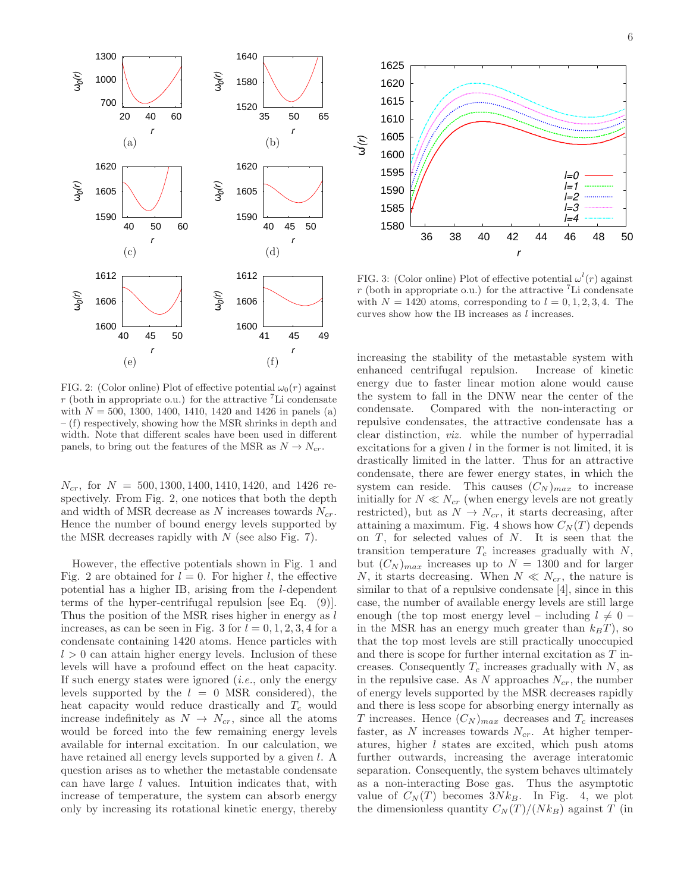

FIG. 2: (Color online) Plot of effective potential  $\omega_0(r)$  against  $r$  (both in appropriate o.u.) for the attractive <sup>7</sup>Li condensate with  $N = 500, 1300, 1400, 1410, 1420$  and 1426 in panels (a) – (f) respectively, showing how the MSR shrinks in depth and width. Note that different scales have been used in different panels, to bring out the features of the MSR as  $N \to N_{cr}$ .

 $N_{cr}$ , for  $N = 500, 1300, 1400, 1410, 1420,$  and 1426 respectively. From Fig. 2, one notices that both the depth and width of MSR decrease as N increases towards  $N_{cr}$ . Hence the number of bound energy levels supported by the MSR decreases rapidly with  $N$  (see also Fig. 7).

However, the effective potentials shown in Fig. 1 and Fig. 2 are obtained for  $l = 0$ . For higher l, the effective potential has a higher IB, arising from the l-dependent terms of the hyper-centrifugal repulsion [see Eq. (9)]. Thus the position of the MSR rises higher in energy as l increases, as can be seen in Fig. 3 for  $l = 0, 1, 2, 3, 4$  for a condensate containing 1420 atoms. Hence particles with  $l > 0$  can attain higher energy levels. Inclusion of these levels will have a profound effect on the heat capacity. If such energy states were ignored  $(i.e.,$  only the energy levels supported by the  $l = 0$  MSR considered), the heat capacity would reduce drastically and  $T_c$  would increase indefinitely as  $N \rightarrow N_{cr}$ , since all the atoms would be forced into the few remaining energy levels available for internal excitation. In our calculation, we have retained all energy levels supported by a given l. A question arises as to whether the metastable condensate can have large l values. Intuition indicates that, with increase of temperature, the system can absorb energy only by increasing its rotational kinetic energy, thereby



FIG. 3: (Color online) Plot of effective potential  $\omega^{l}(r)$  against  $r$  (both in appropriate o.u.) for the attractive  $\mathrm{^{7}Li}$  condensate with  $N = 1420$  atoms, corresponding to  $l = 0, 1, 2, 3, 4$ . The curves show how the IB increases as  $l$  increases.

increasing the stability of the metastable system with enhanced centrifugal repulsion. Increase of kinetic energy due to faster linear motion alone would cause the system to fall in the DNW near the center of the condensate. Compared with the non-interacting or repulsive condensates, the attractive condensate has a clear distinction, viz. while the number of hyperradial excitations for a given  $l$  in the former is not limited, it is drastically limited in the latter. Thus for an attractive condensate, there are fewer energy states, in which the system can reside. This causes  $(C_N)_{max}$  to increase initially for  $N \ll N_{cr}$  (when energy levels are not greatly restricted), but as  $N \to N_{cr}$ , it starts decreasing, after attaining a maximum. Fig. 4 shows how  $C<sub>N</sub>(T)$  depends on  $T$ , for selected values of  $N$ . It is seen that the transition temperature  $T_c$  increases gradually with  $N$ , but  $(C_N)_{max}$  increases up to  $N = 1300$  and for larger N, it starts decreasing. When  $N \ll N_{cr}$ , the nature is similar to that of a repulsive condensate [4], since in this case, the number of available energy levels are still large enough (the top most energy level – including  $l \neq 0$  – in the MSR has an energy much greater than  $k_BT$ ), so that the top most levels are still practically unoccupied and there is scope for further internal excitation as T increases. Consequently  $T_c$  increases gradually with  $N$ , as in the repulsive case. As N approaches  $N_{cr}$ , the number of energy levels supported by the MSR decreases rapidly and there is less scope for absorbing energy internally as T increases. Hence  $(C_N)_{max}$  decreases and  $T_c$  increases faster, as  $N$  increases towards  $N_{cr}$ . At higher temperatures, higher l states are excited, which push atoms further outwards, increasing the average interatomic separation. Consequently, the system behaves ultimately as a non-interacting Bose gas. Thus the asymptotic value of  $C_N(T)$  becomes  $3Nk_B$ . In Fig. 4, we plot the dimensionless quantity  $C_N(T)/(N k_B)$  against T (in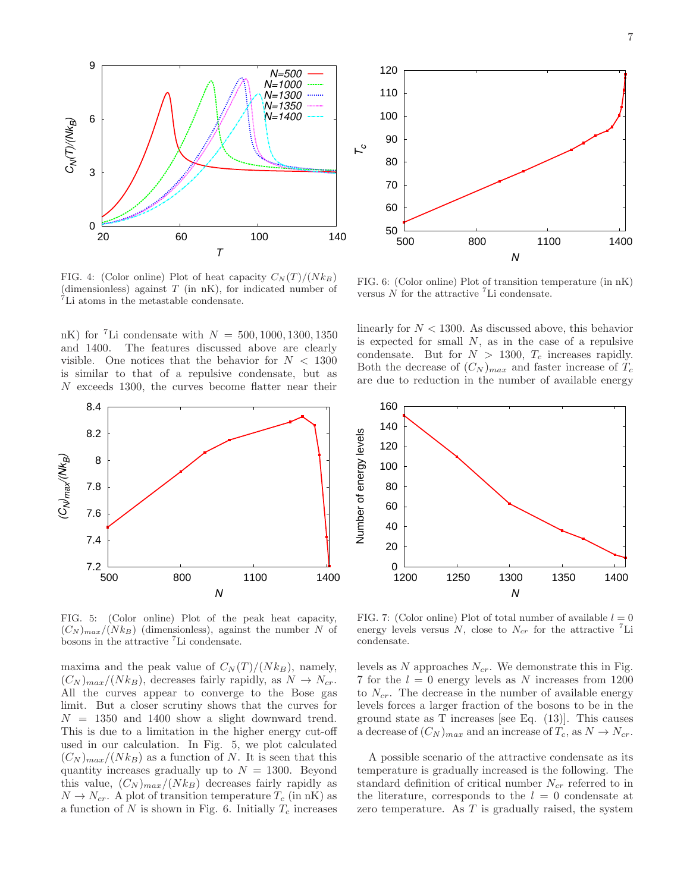

FIG. 4: (Color online) Plot of heat capacity  $C<sub>N</sub>(T)/(Nk_B)$ (dimensionless) against  $T$  (in nK), for indicated number of <sup>7</sup>Li atoms in the metastable condensate.

nK) for <sup>7</sup>Li condensate with  $N = 500, 1000, 1300, 1350$ and 1400. The features discussed above are clearly visible. One notices that the behavior for  $N < 1300$ is similar to that of a repulsive condensate, but as N exceeds 1300, the curves become flatter near their



FIG. 5: (Color online) Plot of the peak heat capacity,  $(C_N)_{max}/(Nk_B)$  (dimensionless), against the number N of bosons in the attractive <sup>7</sup>Li condensate.

maxima and the peak value of  $C_N(T)/(N k_B)$ , namely,  $(C_N)_{max}/(N k_B)$ , decreases fairly rapidly, as  $N \rightarrow N_{cr}$ . All the curves appear to converge to the Bose gas limit. But a closer scrutiny shows that the curves for  $N = 1350$  and 1400 show a slight downward trend. This is due to a limitation in the higher energy cut-off used in our calculation. In Fig. 5, we plot calculated  $(C_N)_{max}/(N k_B)$  as a function of N. It is seen that this quantity increases gradually up to  $N = 1300$ . Beyond this value,  $(C_N)_{max}/(N k_B)$  decreases fairly rapidly as  $N \to N_{cr}$ . A plot of transition temperature  $T_c$  (in nK) as a function of  $N$  is shown in Fig. 6. Initially  $T_c$  increases



FIG. 6: (Color online) Plot of transition temperature (in nK) versus  $N$  for the attractive  ${}^{7}$ Li condensate.

linearly for  $N < 1300$ . As discussed above, this behavior is expected for small  $N$ , as in the case of a repulsive condensate. But for  $N > 1300$ ,  $T_c$  increases rapidly. Both the decrease of  $(C_N)_{max}$  and faster increase of  $T_c$ are due to reduction in the number of available energy



FIG. 7: (Color online) Plot of total number of available  $l = 0$ energy levels versus N, close to  $N_{cr}$  for the attractive <sup>7</sup>Li condensate.

levels as N approaches  $N_{cr}$ . We demonstrate this in Fig. 7 for the  $l = 0$  energy levels as N increases from 1200 to  $N_{cr}$ . The decrease in the number of available energy levels forces a larger fraction of the bosons to be in the ground state as  $T$  increases [see Eq.  $(13)$ ]. This causes a decrease of  $(C_N)_{max}$  and an increase of  $T_c$ , as  $N \to N_{cr}$ .

A possible scenario of the attractive condensate as its temperature is gradually increased is the following. The standard definition of critical number  $N_{cr}$  referred to in the literature, corresponds to the  $l = 0$  condensate at zero temperature. As  $T$  is gradually raised, the system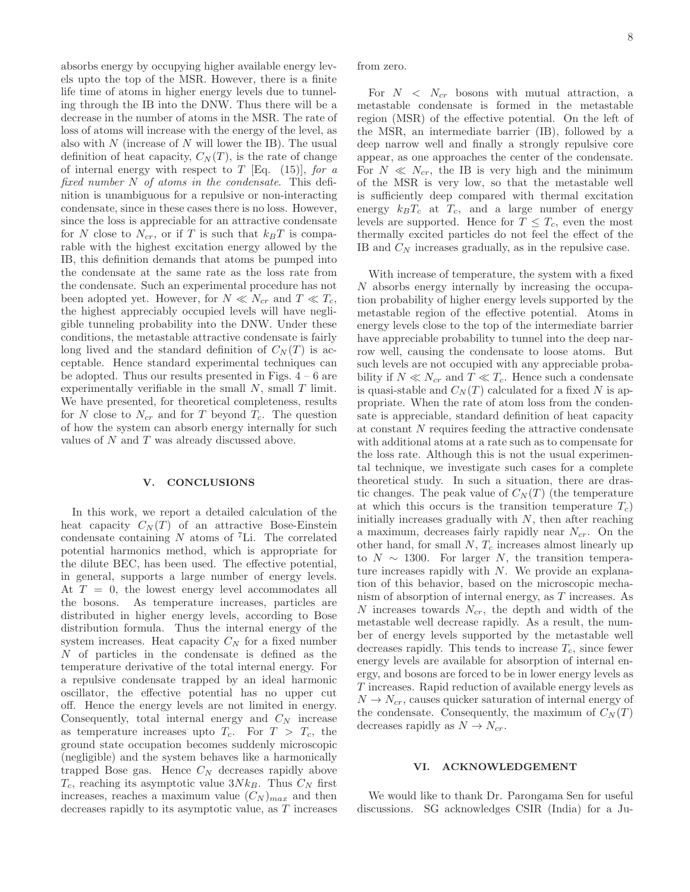absorbs energy by occupying higher available energy levels upto the top of the MSR. However, there is a finite life time of atoms in higher energy levels due to tunneling through the IB into the DNW. Thus there will be a decrease in the number of atoms in the MSR. The rate of loss of atoms will increase with the energy of the level, as also with  $N$  (increase of  $N$  will lower the IB). The usual definition of heat capacity,  $C<sub>N</sub>(T)$ , is the rate of change of internal energy with respect to T [Eq. (15)], for a fixed number  $N$  of atoms in the condensate. This definition is unambiguous for a repulsive or non-interacting condensate, since in these cases there is no loss. However, since the loss is appreciable for an attractive condensate for N close to  $N_{cr}$ , or if T is such that  $k_BT$  is comparable with the highest excitation energy allowed by the IB, this definition demands that atoms be pumped into the condensate at the same rate as the loss rate from the condensate. Such an experimental procedure has not been adopted yet. However, for  $N \ll N_{cr}$  and  $T \ll T_c$ , the highest appreciably occupied levels will have negligible tunneling probability into the DNW. Under these conditions, the metastable attractive condensate is fairly long lived and the standard definition of  $C<sub>N</sub>(T)$  is acceptable. Hence standard experimental techniques can be adopted. Thus our results presented in Figs.  $4 - 6$  are experimentally verifiable in the small  $N$ , small  $T$  limit. We have presented, for theoretical completeness, results for N close to  $N_{cr}$  and for T beyond  $T_c$ . The question of how the system can absorb energy internally for such values of N and T was already discussed above.

### V. CONCLUSIONS

In this work, we report a detailed calculation of the heat capacity  $C_N(T)$  of an attractive Bose-Einstein condensate containing  $N$  atoms of <sup>7</sup>Li. The correlated potential harmonics method, which is appropriate for the dilute BEC, has been used. The effective potential, in general, supports a large number of energy levels. At  $T = 0$ , the lowest energy level accommodates all the bosons. As temperature increases, particles are distributed in higher energy levels, according to Bose distribution formula. Thus the internal energy of the system increases. Heat capacity  $C<sub>N</sub>$  for a fixed number N of particles in the condensate is defined as the temperature derivative of the total internal energy. For a repulsive condensate trapped by an ideal harmonic oscillator, the effective potential has no upper cut off. Hence the energy levels are not limited in energy. Consequently, total internal energy and  $C_N$  increase as temperature increases upto  $T_c$ . For  $T > T_c$ , the ground state occupation becomes suddenly microscopic (negligible) and the system behaves like a harmonically trapped Bose gas. Hence  $C_N$  decreases rapidly above  $T_c$ , reaching its asymptotic value  $3N k_B$ . Thus  $C_N$  first increases, reaches a maximum value  $(C_N)_{max}$  and then decreases rapidly to its asymptotic value, as T increases

from zero.

For  $N < N_{cr}$  bosons with mutual attraction, a metastable condensate is formed in the metastable region (MSR) of the effective potential. On the left of the MSR, an intermediate barrier (IB), followed by a deep narrow well and finally a strongly repulsive core appear, as one approaches the center of the condensate. For  $N \ll N_{cr}$ , the IB is very high and the minimum of the MSR is very low, so that the metastable well is sufficiently deep compared with thermal excitation energy  $k_BT_c$  at  $T_c$ , and a large number of energy levels are supported. Hence for  $T \leq T_c$ , even the most thermally excited particles do not feel the effect of the IB and  $C_N$  increases gradually, as in the repulsive case.

With increase of temperature, the system with a fixed N absorbs energy internally by increasing the occupation probability of higher energy levels supported by the metastable region of the effective potential. Atoms in energy levels close to the top of the intermediate barrier have appreciable probability to tunnel into the deep narrow well, causing the condensate to loose atoms. But such levels are not occupied with any appreciable probability if  $N \ll N_{cr}$  and  $T \ll T_c$ . Hence such a condensate is quasi-stable and  $C<sub>N</sub>(T)$  calculated for a fixed N is appropriate. When the rate of atom loss from the condensate is appreciable, standard definition of heat capacity at constant N requires feeding the attractive condensate with additional atoms at a rate such as to compensate for the loss rate. Although this is not the usual experimental technique, we investigate such cases for a complete theoretical study. In such a situation, there are drastic changes. The peak value of  $C<sub>N</sub>(T)$  (the temperature at which this occurs is the transition temperature  $T_c$ ) initially increases gradually with  $N$ , then after reaching a maximum, decreases fairly rapidly near  $N_{cr}$ . On the other hand, for small  $N$ ,  $T_c$  increases almost linearly up to  $N \sim 1300$ . For larger N, the transition temperature increases rapidly with  $N$ . We provide an explanation of this behavior, based on the microscopic mechanism of absorption of internal energy, as T increases. As N increases towards  $N_{cr}$ , the depth and width of the metastable well decrease rapidly. As a result, the number of energy levels supported by the metastable well decreases rapidly. This tends to increase  $T_c$ , since fewer energy levels are available for absorption of internal energy, and bosons are forced to be in lower energy levels as T increases. Rapid reduction of available energy levels as  $N \rightarrow N_{cr}$ , causes quicker saturation of internal energy of the condensate. Consequently, the maximum of  $C<sub>N</sub>(T)$ decreases rapidly as  $N \to N_{cr}$ .

# VI. ACKNOWLEDGEMENT

We would like to thank Dr. Parongama Sen for useful discussions. SG acknowledges CSIR (India) for a Ju